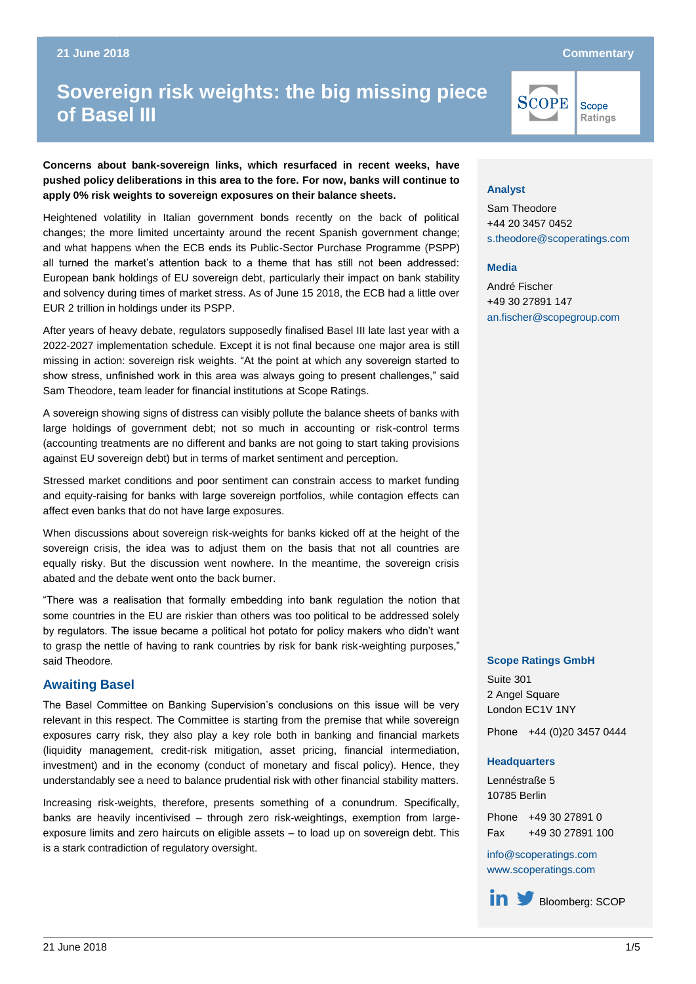# **Sovereign risk weights: the big missing piece of Basel III Sovereign risk weights: the big missing piece of Basel III**

**Concerns about bank-sovereign links, which resurfaced in recent weeks, have pushed policy deliberations in this area to the fore. For now, banks will continue to apply 0% risk weights to sovereign exposures on their balance sheets.**

Heightened volatility in Italian government bonds recently on the back of political changes; the more limited uncertainty around the recent Spanish government change; and what happens when the ECB ends its Public-Sector Purchase Programme (PSPP) all turned the market's attention back to a theme that has still not been addressed: European bank holdings of EU sovereign debt, particularly their impact on bank stability and solvency during times of market stress. As of June 15 2018, the ECB had a little over EUR 2 trillion in holdings under its PSPP.

After years of heavy debate, regulators supposedly finalised Basel III late last year with a 2022-2027 implementation schedule. Except it is not final because one major area is still missing in action: sovereign risk weights. "At the point at which any sovereign started to show stress, unfinished work in this area was always going to present challenges," said Sam Theodore, team leader for financial institutions at Scope Ratings.

A sovereign showing signs of distress can visibly pollute the balance sheets of banks with large holdings of government debt; not so much in accounting or risk-control terms (accounting treatments are no different and banks are not going to start taking provisions against EU sovereign debt) but in terms of market sentiment and perception.

Stressed market conditions and poor sentiment can constrain access to market funding and equity-raising for banks with large sovereign portfolios, while contagion effects can affect even banks that do not have large exposures.

When discussions about sovereign risk-weights for banks kicked off at the height of the sovereign crisis, the idea was to adjust them on the basis that not all countries are equally risky. But the discussion went nowhere. In the meantime, the sovereign crisis abated and the debate went onto the back burner.

"There was a realisation that formally embedding into bank regulation the notion that some countries in the EU are riskier than others was too political to be addressed solely by regulators. The issue became a political hot potato for policy makers who didn't want to grasp the nettle of having to rank countries by risk for bank risk-weighting purposes," said Theodore.

## **Awaiting Basel**

The Basel Committee on Banking Supervision's conclusions on this issue will be very relevant in this respect. The Committee is starting from the premise that while sovereign exposures carry risk, they also play a key role both in banking and financial markets (liquidity management, credit-risk mitigation, asset pricing, financial intermediation, investment) and in the economy (conduct of monetary and fiscal policy). Hence, they understandably see a need to balance prudential risk with other financial stability matters.

Increasing risk-weights, therefore, presents something of a conundrum. Specifically, banks are heavily incentivised – through zero risk-weightings, exemption from largeexposure limits and zero haircuts on eligible assets – to load up on sovereign debt. This is a stark contradiction of regulatory oversight.

# SCOPE Scope **Ratings**

**Analyst**

Sam Theodore +44 20 3457 0452 [s.theodore@scoperatings.com](mailto:s.theodore@scoperatings.com)

#### **Media**

André Fischer +49 30 27891 147 [an.fischer@scopegroup.com](mailto:an.fischer@scoperatings.com)

#### **Scope Ratings GmbH**

Suite 301 2 Angel Square London EC1V 1NY

Phone +44 (0)20 3457 0444

#### **Headquarters**

Lennéstraße 5 10785 Berlin

Phone +49 30 27891 0 Fax +49 30 27891 100

[info@scoperatings.com](mailto:info@scoperatings.com) [www.scoperatings.com](https://www.scoperatings.com/)

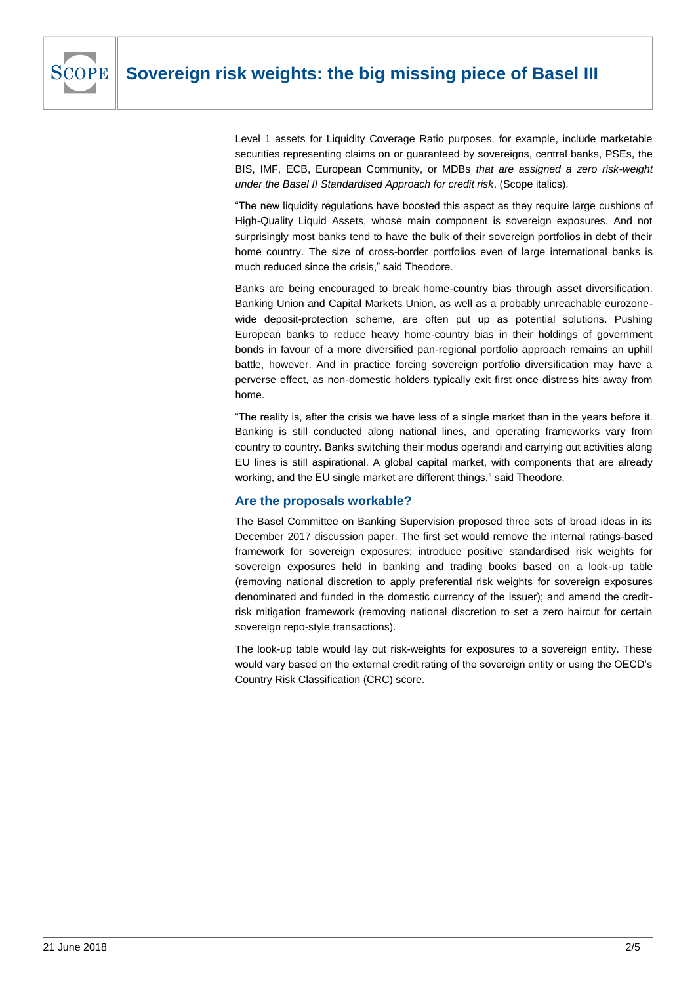

Level 1 assets for Liquidity Coverage Ratio purposes, for example, include marketable securities representing claims on or guaranteed by sovereigns, central banks, PSEs, the BIS, IMF, ECB, European Community, or MDBs *that are assigned a zero risk-weight under the Basel II Standardised Approach for credit risk*. (Scope italics).

"The new liquidity regulations have boosted this aspect as they require large cushions of High-Quality Liquid Assets, whose main component is sovereign exposures. And not surprisingly most banks tend to have the bulk of their sovereign portfolios in debt of their home country. The size of cross-border portfolios even of large international banks is much reduced since the crisis," said Theodore.

Banks are being encouraged to break home-country bias through asset diversification. Banking Union and Capital Markets Union, as well as a probably unreachable eurozonewide deposit-protection scheme, are often put up as potential solutions. Pushing European banks to reduce heavy home-country bias in their holdings of government bonds in favour of a more diversified pan-regional portfolio approach remains an uphill battle, however. And in practice forcing sovereign portfolio diversification may have a perverse effect, as non-domestic holders typically exit first once distress hits away from home.

"The reality is, after the crisis we have less of a single market than in the years before it. Banking is still conducted along national lines, and operating frameworks vary from country to country. Banks switching their modus operandi and carrying out activities along EU lines is still aspirational. A global capital market, with components that are already working, and the EU single market are different things," said Theodore.

# **Are the proposals workable?**

The Basel Committee on Banking Supervision proposed three sets of broad ideas in its December 2017 discussion paper. The first set would remove the internal ratings-based framework for sovereign exposures; introduce positive standardised risk weights for sovereign exposures held in banking and trading books based on a look-up table (removing national discretion to apply preferential risk weights for sovereign exposures denominated and funded in the domestic currency of the issuer); and amend the creditrisk mitigation framework (removing national discretion to set a zero haircut for certain sovereign repo-style transactions).

The look-up table would lay out risk-weights for exposures to a sovereign entity. These would vary based on the external credit rating of the sovereign entity or using the OECD's Country Risk Classification (CRC) score.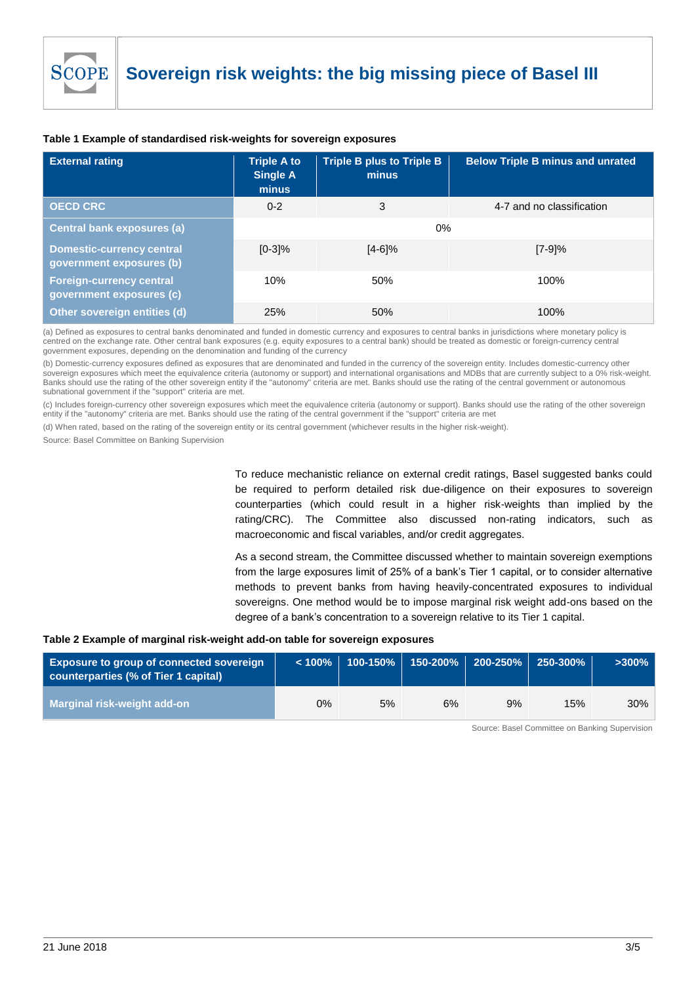| <b>External rating</b>                                       | <b>Triple A to</b><br><b>Single A</b><br>minus | <b>Triple B plus to Triple B</b><br>minus | <b>Below Triple B minus and unrated</b> |  |  |  |
|--------------------------------------------------------------|------------------------------------------------|-------------------------------------------|-----------------------------------------|--|--|--|
| <b>OECD CRC</b>                                              | $0 - 2$                                        | 3                                         | 4-7 and no classification               |  |  |  |
| <b>Central bank exposures (a)</b>                            | 0%                                             |                                           |                                         |  |  |  |
| <b>Domestic-currency central</b><br>government exposures (b) | $[0-3]%$                                       | $[4-6]\%$                                 | $[7-9]\%$                               |  |  |  |
| <b>Foreign-currency central</b><br>government exposures (c)  | 10%                                            | 50%                                       | 100%                                    |  |  |  |
| Other sovereign entities (d)                                 | 25%                                            | 50%                                       | 100%                                    |  |  |  |

## **Table 1 Example of standardised risk-weights for sovereign exposures**

(a) Defined as exposures to central banks denominated and funded in domestic currency and exposures to central banks in jurisdictions where monetary policy is centred on the exchange rate. Other central bank exposures (e.g. equity exposures to a central bank) should be treated as domestic or foreign-currency central government exposures, depending on the denomination and funding of the currency

(b) Domestic-currency exposures defined as exposures that are denominated and funded in the currency of the sovereign entity. Includes domestic-currency other sovereign exposures which meet the equivalence criteria (autonomy or support) and international organisations and MDBs that are currently subject to a 0% risk-weight. Banks should use the rating of the other sovereign entity if the "autonomy" criteria are met. Banks should use the rating of the central government or autonomous subnational government if the "support" criteria are met.

(c) Includes foreign-currency other sovereign exposures which meet the equivalence criteria (autonomy or support). Banks should use the rating of the other sovereign entity if the "autonomy" criteria are met. Banks should use the rating of the central government if the "support" criteria are met

(d) When rated, based on the rating of the sovereign entity or its central government (whichever results in the higher risk-weight).

Source: Basel Committee on Banking Supervision

To reduce mechanistic reliance on external credit ratings, Basel suggested banks could be required to perform detailed risk due-diligence on their exposures to sovereign counterparties (which could result in a higher risk-weights than implied by the rating/CRC). The Committee also discussed non-rating indicators, such as macroeconomic and fiscal variables, and/or credit aggregates.

As a second stream, the Committee discussed whether to maintain sovereign exemptions from the large exposures limit of 25% of a bank's Tier 1 capital, or to consider alternative methods to prevent banks from having heavily-concentrated exposures to individual sovereigns. One method would be to impose marginal risk weight add-ons based on the degree of a bank's concentration to a sovereign relative to its Tier 1 capital.

#### **Table 2 Example of marginal risk-weight add-on table for sovereign exposures**

| <b>Exposure to group of connected sovereign</b><br>counterparties (% of Tier 1 capital) |    | $\vert$ < 100%   100-150% |    | 150-200% 200-250% | 250-300% | $\sim$ 300% |
|-----------------------------------------------------------------------------------------|----|---------------------------|----|-------------------|----------|-------------|
| <b>Marginal risk-weight add-on</b>                                                      | 0% | 5%                        | 6% | 9%                | 15%      | 30%         |

Source: Basel Committee on Banking Supervision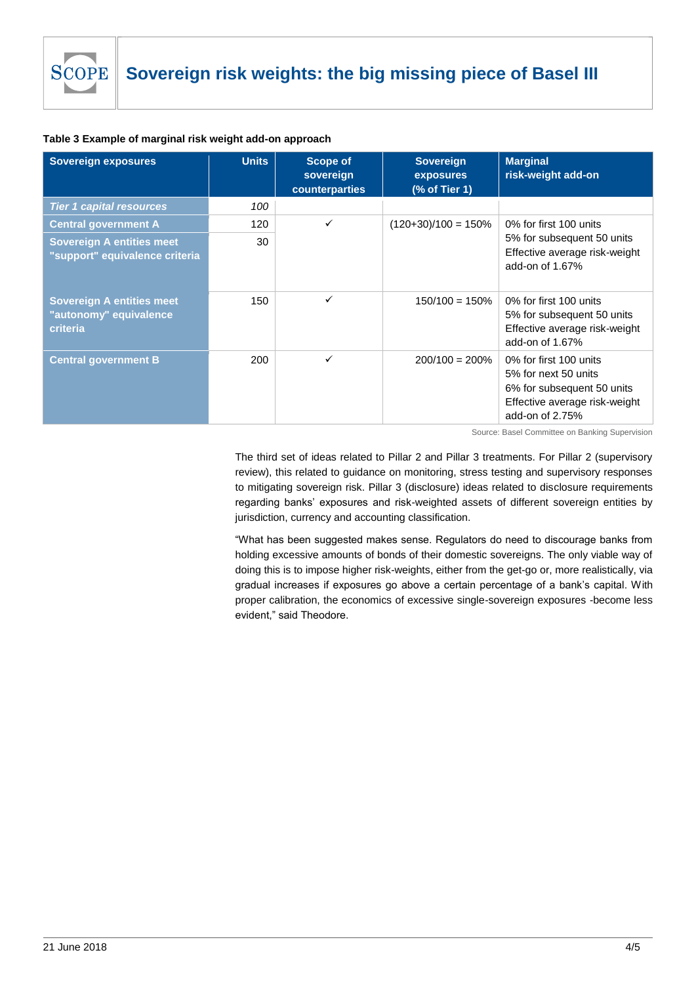

### **Table 3 Example of marginal risk weight add-on approach**

| <b>Sovereign exposures</b>                                             | <b>Units</b> | <b>Scope of</b><br>sovereign<br>counterparties | <b>Sovereign</b><br><b>exposures</b><br>(% of Tier 1) | <b>Marginal</b><br>risk-weight add-on                                                                                            |  |
|------------------------------------------------------------------------|--------------|------------------------------------------------|-------------------------------------------------------|----------------------------------------------------------------------------------------------------------------------------------|--|
| <b>Tier 1 capital resources</b>                                        | 100          |                                                |                                                       |                                                                                                                                  |  |
| <b>Central government A</b>                                            | 120          | ✓                                              | $(120+30)/100 = 150%$                                 | 0% for first 100 units                                                                                                           |  |
| <b>Sovereign A entities meet</b><br>"support" equivalence criteria     | 30           |                                                |                                                       | 5% for subsequent 50 units<br>Effective average risk-weight<br>add-on of 1.67%                                                   |  |
| <b>Sovereign A entities meet</b><br>"autonomy" equivalence<br>criteria | 150          | ✓                                              | $150/100 = 150%$                                      | 0% for first 100 units<br>5% for subsequent 50 units<br>Effective average risk-weight<br>add-on of 1.67%                         |  |
| <b>Central government B</b>                                            | 200          | ✓                                              | $200/100 = 200%$                                      | 0% for first 100 units<br>5% for next 50 units<br>6% for subsequent 50 units<br>Effective average risk-weight<br>add-on of 2.75% |  |

Source: Basel Committee on Banking Supervision

The third set of ideas related to Pillar 2 and Pillar 3 treatments. For Pillar 2 (supervisory review), this related to guidance on monitoring, stress testing and supervisory responses to mitigating sovereign risk. Pillar 3 (disclosure) ideas related to disclosure requirements regarding banks' exposures and risk-weighted assets of different sovereign entities by jurisdiction, currency and accounting classification.

"What has been suggested makes sense. Regulators do need to discourage banks from holding excessive amounts of bonds of their domestic sovereigns. The only viable way of doing this is to impose higher risk-weights, either from the get-go or, more realistically, via gradual increases if exposures go above a certain percentage of a bank's capital. With proper calibration, the economics of excessive single-sovereign exposures -become less evident," said Theodore.